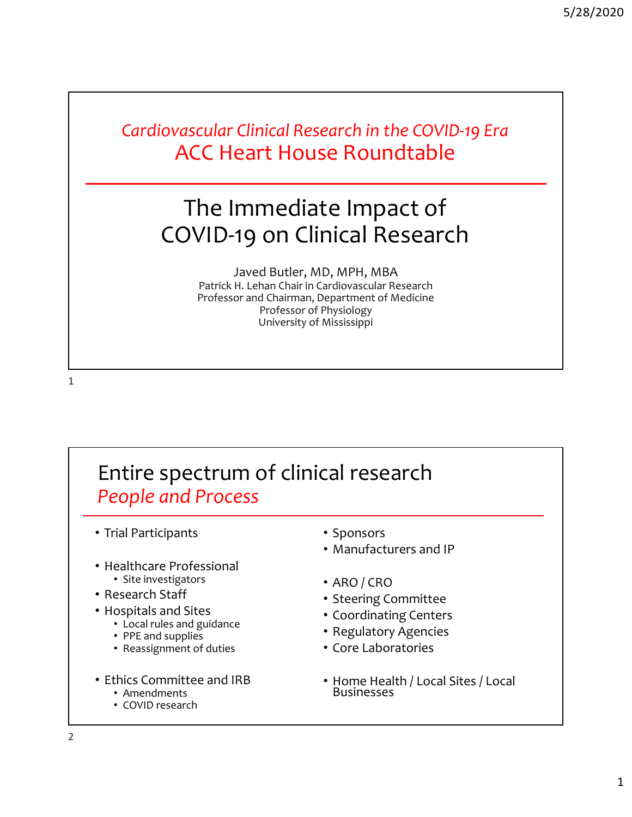*Cardiovascular Clinical Research in the COVID‐19 Era* ACC Heart House Roundtable

## The Immediate Impact of COVID‐19 on Clinical Research

Javed Butler, MD, MPH, MBA Patrick H. Lehan Chair in Cardiovascular Research Professor and Chairman, Department of Medicine Professor of Physiology University of Mississippi

1

## Entire spectrum of clinical research *People and Process*

- Trial Participants
- Healthcare Professional Site investigators
- Research Staff
	-
- Hospitals and Sites Local rules and guidance
	- PPE and supplies
	- Reassignment of duties
- Ethics Committee and IRB Amendments
	-
	- COVID research
- Sponsors
- Manufacturers and IP
- ARO / CRO
- Steering Committee
- Coordinating Centers
- Regulatory Agencies
- Core Laboratories
- Home Health / Local Sites / Local Businesses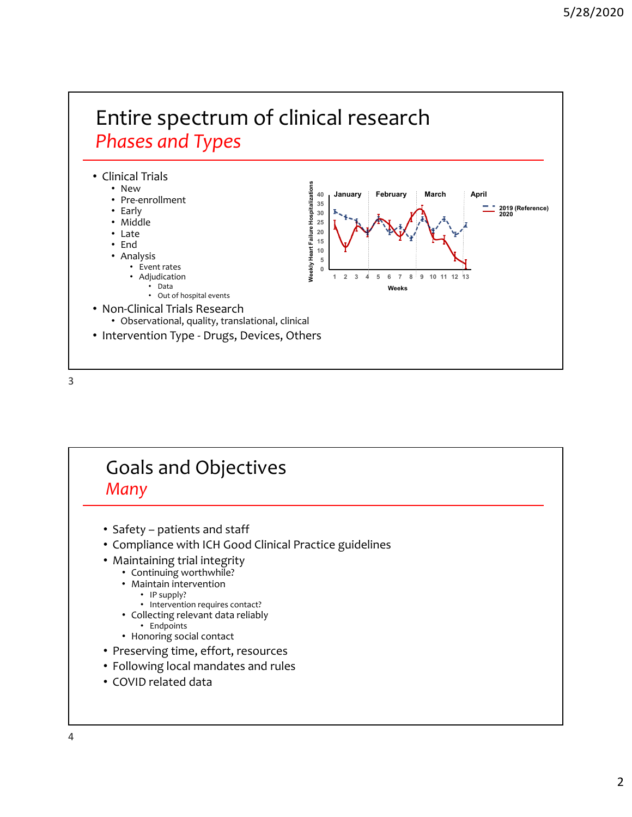